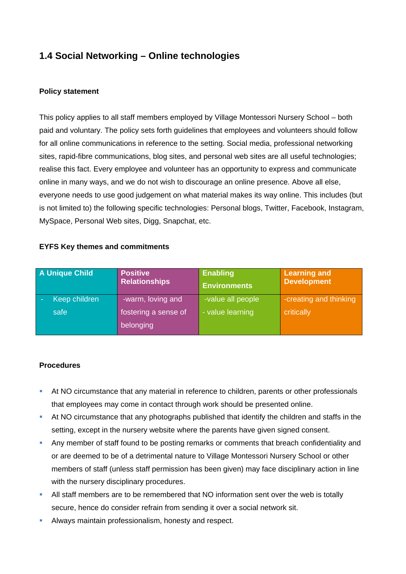# **1.4 Social Networking – Online technologies**

## **Policy statement**

This policy applies to all staff members employed by Village Montessori Nursery School – both paid and voluntary. The policy sets forth guidelines that employees and volunteers should follow for all online communications in reference to the setting. Social media, professional networking sites, rapid-fibre communications, blog sites, and personal web sites are all useful technologies; realise this fact. Every employee and volunteer has an opportunity to express and communicate online in many ways, and we do not wish to discourage an online presence. Above all else, everyone needs to use good judgement on what material makes its way online. This includes (but is not limited to) the following specific technologies: Personal blogs, Twitter, Facebook, Instagram, MySpace, Personal Web sites, Digg, Snapchat, etc.

### **EYFS Key themes and commitments**

| A Unique Child | <b>Positive</b><br><b>Relationships</b> | <b>Enabling</b><br><b>Environments</b> | <b>Learning and</b><br><b>Development</b> |
|----------------|-----------------------------------------|----------------------------------------|-------------------------------------------|
| Keep children  | -warm, loving and                       | -value all people                      | -creating and thinking                    |
| safe           | fostering a sense of<br>belonging       | - value learning                       | critically                                |

#### **Procedures**

- At NO circumstance that any material in reference to children, parents or other professionals that employees may come in contact through work should be presented online.
- At NO circumstance that any photographs published that identify the children and staffs in the setting, except in the nursery website where the parents have given signed consent.
- Any member of staff found to be posting remarks or comments that breach confidentiality and or are deemed to be of a detrimental nature to Village Montessori Nursery School or other members of staff (unless staff permission has been given) may face disciplinary action in line with the nursery disciplinary procedures.
- All staff members are to be remembered that NO information sent over the web is totally secure, hence do consider refrain from sending it over a social network sit.
- Always maintain professionalism, honesty and respect.